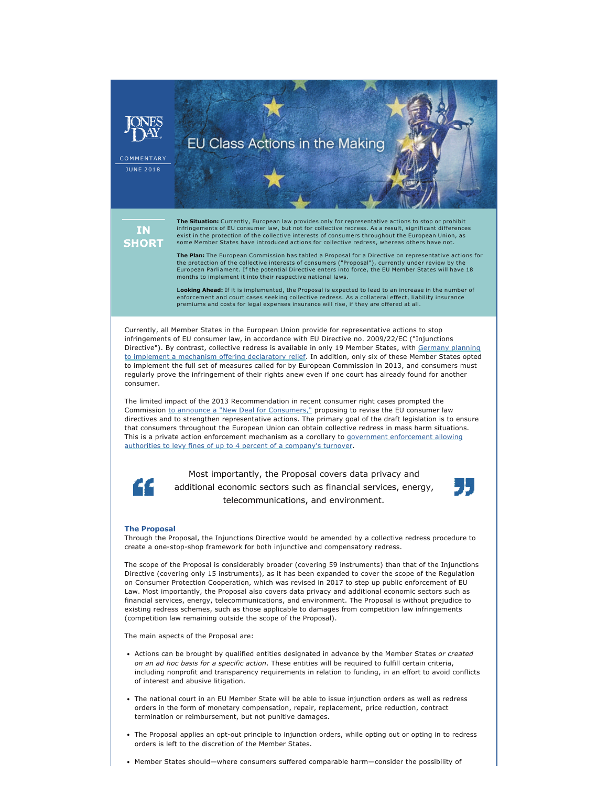

**JUNE 2018** 

**IN SHORT**  **The Situation:** Currently, European law provides only for representative actions to stop or prohibit infringements of EU consumer law, but not for collective redress. As a result, significant differences exist in the protection of the collective interests of consumers throughout the European Union, as some Member States have introduced actions for collective redress, whereas others have not.

EU Class Actions in the Making

**The Plan:** The European Commission has tabled a Proposal for a Directive on representative actions for the protection of the collective interests of consumers ("Proposal"), currently under review by the European Parliament. If the potential Directive enters into force, the EU Member States will have 18 months to implement it into their respective national laws.

L**ooking Ahead:** If it is implemented, the Proposal is expected to lead to an increase in the number of enforcement and court cases seeking collective redress. As a collateral effect, liability insurance premiums and costs for legal expenses insurance will rise, if they are offered at all.

Currently, all Member States in the European Union provide for representative actions to stop infringements of EU consumer law, in accordance with EU Directive no. 2009/22/EC ("Injunctions Directive"). By contrast, collective redress is available in only 19 Member States, with [Germany planning](http://www.jonesday.com/german-government-releases-draft-act-on-class-actions-in-germany-05-14-2018/) [to implement a mechanism offering declaratory relief.](http://www.jonesday.com/german-government-releases-draft-act-on-class-actions-in-germany-05-14-2018/) In addition, only six of these Member States opted to implement the full set of measures called for by European Commission in 2013, and consumers must regularly prove the infringement of their rights anew even if one court has already found for another consumer.

The limited impact of the 2013 Recommendation in recent consumer right cases prompted the Commission [to announce a "New Deal for Consumers,"](http://www.jonesday.com/be-sued-or-be-fined-european-commission-proposes-consumer-protections-expanding-class-actions-and-enforcement-powers-04-16-2018/) proposing to revise the EU consumer law directives and to strengthen representative actions. The primary goal of the draft legislation is to ensure that consumers throughout the European Union can obtain collective redress in mass harm situations. This is a private action enforcement mechanism as a corollary to [government enforcement allowing](http://www.jonesday.com/eu-consumer-rights-enforcementpenalties-ahead-05-01-2018/) [authorities to levy fines of up to 4 percent of a company's turnover](http://www.jonesday.com/eu-consumer-rights-enforcementpenalties-ahead-05-01-2018/).



Most importantly, the Proposal covers data privacy and additional economic sectors such as financial services, energy, telecommunications, and environment.



## **The Proposal**

Through the Proposal, the Injunctions Directive would be amended by a collective redress procedure to create a one-stop-shop framework for both injunctive and compensatory redress.

The scope of the Proposal is considerably broader (covering 59 instruments) than that of the Injunctions Directive (covering only 15 instruments), as it has been expanded to cover the scope of the Regulation on Consumer Protection Cooperation, which was revised in 2017 to step up public enforcement of EU Law. Most importantly, the Proposal also covers data privacy and additional economic sectors such as financial services, energy, telecommunications, and environment. The Proposal is without prejudice to existing redress schemes, such as those applicable to damages from competition law infringements (competition law remaining outside the scope of the Proposal).

The main aspects of the Proposal are:

- Actions can be brought by qualified entities designated in advance by the Member States *or created on an ad hoc basis for a specific action*. These entities will be required to fulfill certain criteria, including nonprofit and transparency requirements in relation to funding, in an effort to avoid conflicts of interest and abusive litigation.
- The national court in an EU Member State will be able to issue injunction orders as well as redress orders in the form of monetary compensation, repair, replacement, price reduction, contract termination or reimbursement, but not punitive damages.
- The Proposal applies an opt-out principle to injunction orders, while opting out or opting in to redress orders is left to the discretion of the Member States.
- Member States should—where consumers suffered comparable harm—consider the possibility of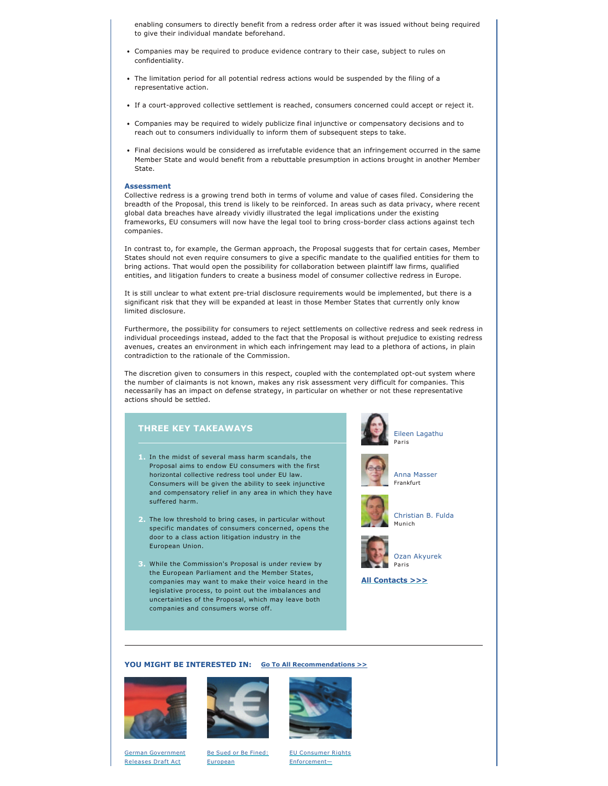enabling consumers to directly benefit from a redress order after it was issued without being required to give their individual mandate beforehand.

- Companies may be required to produce evidence contrary to their case, subject to rules on confidentiality.
- The limitation period for all potential redress actions would be suspended by the filing of a representative action.
- If a court-approved collective settlement is reached, consumers concerned could accept or reject it.
- Companies may be required to widely publicize final injunctive or compensatory decisions and to reach out to consumers individually to inform them of subsequent steps to take.
- Final decisions would be considered as irrefutable evidence that an infringement occurred in the same Member State and would benefit from a rebuttable presumption in actions brought in another Member State.

## **Assessment**

Collective redress is a growing trend both in terms of volume and value of cases filed. Considering the breadth of the Proposal, this trend is likely to be reinforced. In areas such as data privacy, where recent global data breaches have already vividly illustrated the legal implications under the existing frameworks, EU consumers will now have the legal tool to bring cross-border class actions against tech companies.

In contrast to, for example, the German approach, the Proposal suggests that for certain cases, Member States should not even require consumers to give a specific mandate to the qualified entities for them to bring actions. That would open the possibility for collaboration between plaintiff law firms, qualified entities, and litigation funders to create a business model of consumer collective redress in Europe.

It is still unclear to what extent pre-trial disclosure requirements would be implemented, but there is a significant risk that they will be expanded at least in those Member States that currently only know limited disclosure.

Furthermore, the possibility for consumers to reject settlements on collective redress and seek redress in individual proceedings instead, added to the fact that the Proposal is without prejudice to existing redress avenues, creates an environment in which each infringement may lead to a plethora of actions, in plain contradiction to the rationale of the Commission.

The discretion given to consumers in this respect, coupled with the contemplated opt-out system where the number of claimants is not known, makes any risk assessment very difficult for companies. This necessarily has an impact on defense strategy, in particular on whether or not these representative actions should be settled.

## **THREE KEY TAKEAWAYS**

- **1.** In the midst of several mass harm scandals, the Proposal aims to endow EU consumers with the first horizontal collective redress tool under EU law. Consumers will be given the ability to seek injunctive and compensatory relief in any area in which they have suffered harm.
- **2.** The low threshold to bring cases, in particular without specific mandates of consumers concerned, opens the door to a class action litigation industry in the European Union.
- **3.** While the Commission's Proposal is under review by the European Parliament and the Member States, companies may want to make their voice heard in the legislative process, to point out the imbalances and uncertainties of the Proposal, which may leave both companies and consumers worse off.

[Eileen Lagathu](http://www.jonesday.com/elagathu) Paris





[Anna Masser](http://www.jonesday.com/amasser) Frankfurt



[Christian B. Fulda](http://www.jonesday.com/cfulda) Munich



[Ozan Akyurek](http://www.jonesday.com/oakyurek) Paris

**[All Contacts >>>](https://jonesday-ecommunications.com/234/2532/downloads/eu-class-actions-contacts.pdf)**

## **YOU MIGHT BE INTERESTED IN: [Go To All Recommendations >>](http://www.jonesday.com/intellectual_property/?section=Publications)**



[German Government](http://www.jonesday.com/german-government-releases-draft-act-on-class-actions-in-germany-05-14-2018/) [Releases Draft Act](http://www.jonesday.com/german-government-releases-draft-act-on-class-actions-in-germany-05-14-2018/)



[Be Sued or Be Fined:](http://www.jonesday.com/be-sued-or-be-fined-european-commission-proposes-consumer-protections-expanding-class-actions-and-enforcement-powers-04-16-2018/)  [European](http://www.jonesday.com/be-sued-or-be-fined-european-commission-proposes-consumer-protections-expanding-class-actions-and-enforcement-powers-04-16-2018/) 

[EU Consumer Rights](http://www.jonesday.com/eu-consumer-rights-enforcementpenalties-ahead-05-01-2018/)  [Enforcement—](http://www.jonesday.com/eu-consumer-rights-enforcementpenalties-ahead-05-01-2018/)